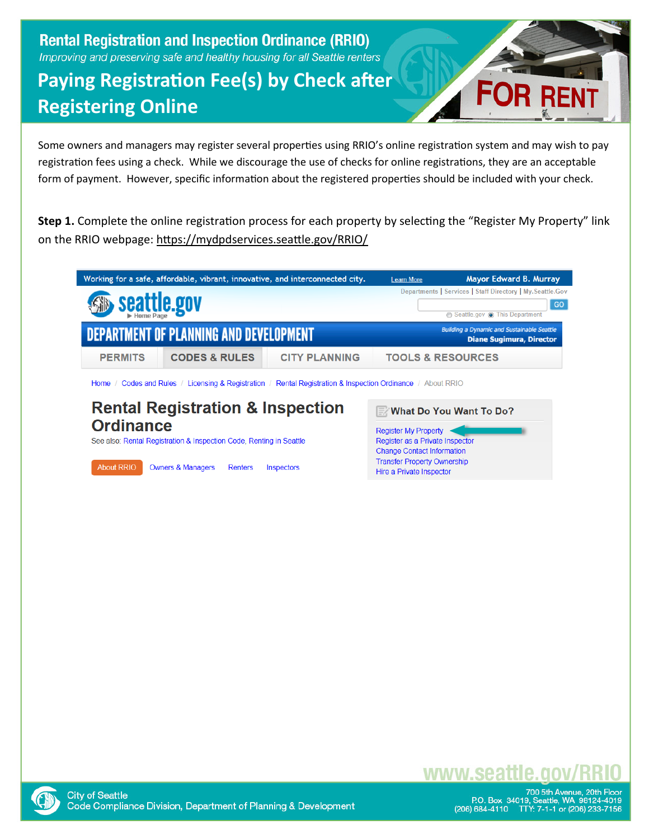#### **Rental Registration and Inspection Ordinance (RRIO)** Improving and preserving safe and healthy housing for all Seattle renters

## **Paying Registration Fee(s) by Check after Registering Online**



Some owners and managers may register several properties using RRIO's online registration system and may wish to pay registration fees using a check. While we discourage the use of checks for online registrations, they are an acceptable form of payment. However, specific information about the registered properties should be included with your check.

**Step 1.** Complete the online registration process for each property by selecting the "Register My Property" link on the RRIO webpage: [https://mydpdservices.seattle.gov/RRI](https://mydpdservices.seattle.gov/RRIO/)O/

| Working for a safe, affordable, vibrant, innovative, and interconnected city.                                                                            | <b>Learn More</b>                                                                                                                      | Mayor Edward B. Murray         |  |  |  |  |
|----------------------------------------------------------------------------------------------------------------------------------------------------------|----------------------------------------------------------------------------------------------------------------------------------------|--------------------------------|--|--|--|--|
| seattle.gov                                                                                                                                              | Departments   Services   Staff Directory   My. Seattle. Gov<br>GO                                                                      |                                |  |  |  |  |
| DEPARTMENT OF PLANNING AND DEVELOPMENT                                                                                                                   | ⊙ Seattle.gov ⊙ This Department<br><b>Building a Dynamic and Sustainable Seattle</b><br><b>Diane Sugimura, Director</b>                |                                |  |  |  |  |
| <b>CODES &amp; RULES</b><br><b>CITY PLANNING</b><br><b>PERMITS</b>                                                                                       | <b>TOOLS &amp; RESOURCES</b>                                                                                                           |                                |  |  |  |  |
| Home / Codes and Rules / Licensing & Registration / Rental Registration & Inspection Ordinance / About RRIO                                              |                                                                                                                                        |                                |  |  |  |  |
| <b>Rental Registration &amp; Inspection</b><br><b>Ordinance</b>                                                                                          | <b>Register My Property</b>                                                                                                            | <b>What Do You Want To Do?</b> |  |  |  |  |
| See also: Rental Registration & Inspection Code, Renting in Seattle<br><b>About RRIO</b><br><b>Owners &amp; Managers</b><br>Renters<br><b>Inspectors</b> | Register as a Private Inspector<br><b>Change Contact Information</b><br><b>Transfer Property Ownership</b><br>Hire a Private Inspector |                                |  |  |  |  |



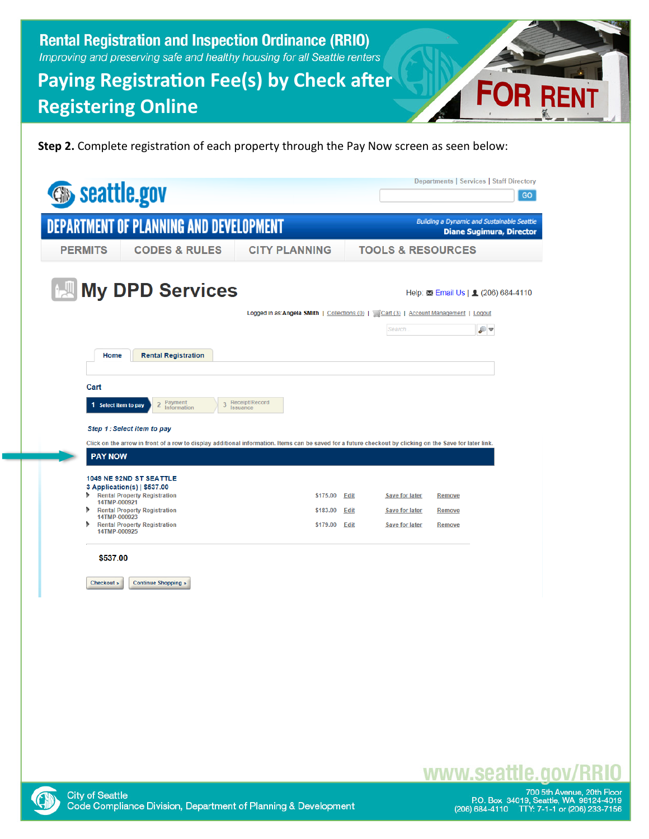**Rental Registration and Inspection Ordinance (RRIO)** Improving and preserving safe and healthy housing for all Seattle renters

## **Paying Registration Fee(s) by Check after Registering Online**

**Step 2.** Complete registration of each property through the Pay Now screen as seen below

|                                                                         |                                               |                                                                                                                                                          |                                      | Departments   Services   Staff Directory                                                |
|-------------------------------------------------------------------------|-----------------------------------------------|----------------------------------------------------------------------------------------------------------------------------------------------------------|--------------------------------------|-----------------------------------------------------------------------------------------|
| <b>Seattle.gov</b>                                                      |                                               |                                                                                                                                                          |                                      | GO.                                                                                     |
| <b>DEPARTMENT OF PLANNING AND DEVELOPMENT</b>                           |                                               |                                                                                                                                                          |                                      | <b>Building a Dynamic and Sustainable Seattle</b><br><b>Diane Sugimura, Director</b>    |
| <b>PERMITS</b>                                                          | <b>CODES &amp; RULES</b>                      | <b>CITY PLANNING</b>                                                                                                                                     | <b>TOOLS &amp; RESOURCES</b>         |                                                                                         |
|                                                                         | <b>My DPD Services</b>                        | Logged in as:Angela SMith   Collections (0)   Cart (3)   Account Management   Logout                                                                     | Search.                              | Help: $\overline{\phantom{0}}$ Email Us   $\overline{\phantom{0}}$ (206) 684-4110<br>₽▼ |
| Home                                                                    | <b>Rental Registration</b>                    |                                                                                                                                                          |                                      |                                                                                         |
| Cart                                                                    |                                               |                                                                                                                                                          |                                      |                                                                                         |
| 1 Select item to pay                                                    | Payment<br>$\overline{2}$<br>3<br>Information | Receipt/Record<br>Issuance                                                                                                                               |                                      |                                                                                         |
|                                                                         |                                               |                                                                                                                                                          |                                      |                                                                                         |
| Step 1: Select item to pay                                              |                                               | Click on the arrow in front of a row to display additional information. Items can be saved for a future checkout by clicking on the Save for later link. |                                      |                                                                                         |
| <b>PAY NOW</b>                                                          |                                               |                                                                                                                                                          |                                      |                                                                                         |
| 1049 NE 92ND ST SEATTLE                                                 |                                               |                                                                                                                                                          |                                      |                                                                                         |
| 3 Application(s)   \$537.00<br><b>Rental Property Registration</b><br>ъ |                                               | \$175.00                                                                                                                                                 | <b>Edit</b><br><b>Save for later</b> | <b>Remove</b>                                                                           |
| 14TMP-000921<br><b>Rental Property Registration</b><br>14TMP-000923     |                                               | \$183.00                                                                                                                                                 | <b>Edit</b><br><b>Save for later</b> | <b>Remove</b>                                                                           |
| <b>Rental Property Registration</b><br>14TMP-000925                     |                                               | \$179.00                                                                                                                                                 | Edit<br><b>Save for later</b>        | <b>Remove</b>                                                                           |
| \$537.00<br>Checkout »                                                  | <b>Continue Shopping »</b>                    |                                                                                                                                                          |                                      |                                                                                         |
|                                                                         |                                               |                                                                                                                                                          |                                      |                                                                                         |



# www.seattle.gov

FO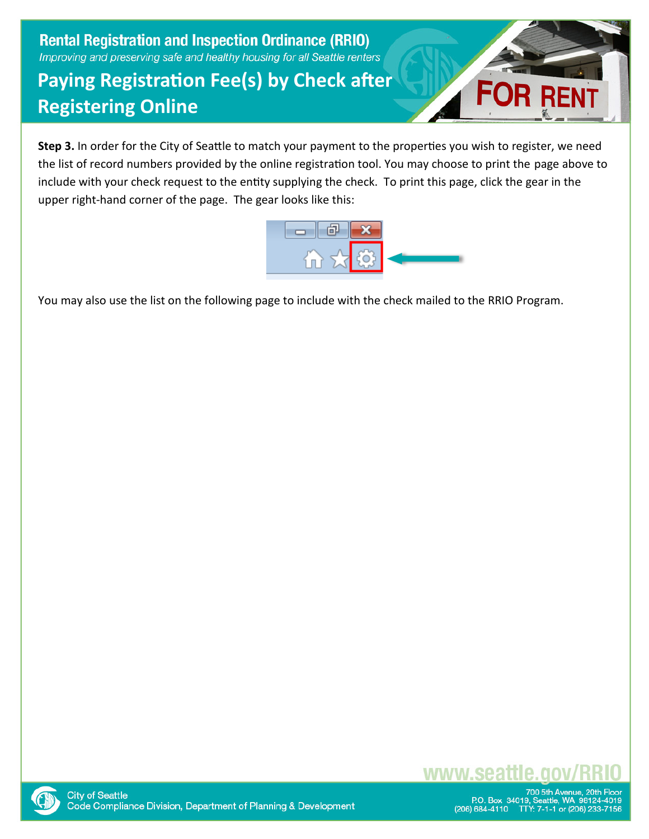**Rental Registration and Inspection Ordinance (RRIO)** Improving and preserving safe and healthy housing for all Seattle renters

## **Paying Registration Fee(s) by Check after Registering Online**



**Step 3.** In order for the City of Seattle to match your payment to the properties you wish to register, we need the list of record numbers provided by the online registration tool. You may choose to print the page above to include with your check request to the entity supplying the check. To print this page, click the gear in the upper right-hand corner of the page. The gear looks like this:



You may also use the list on the following page to include with the check mailed to the RRIO Program.